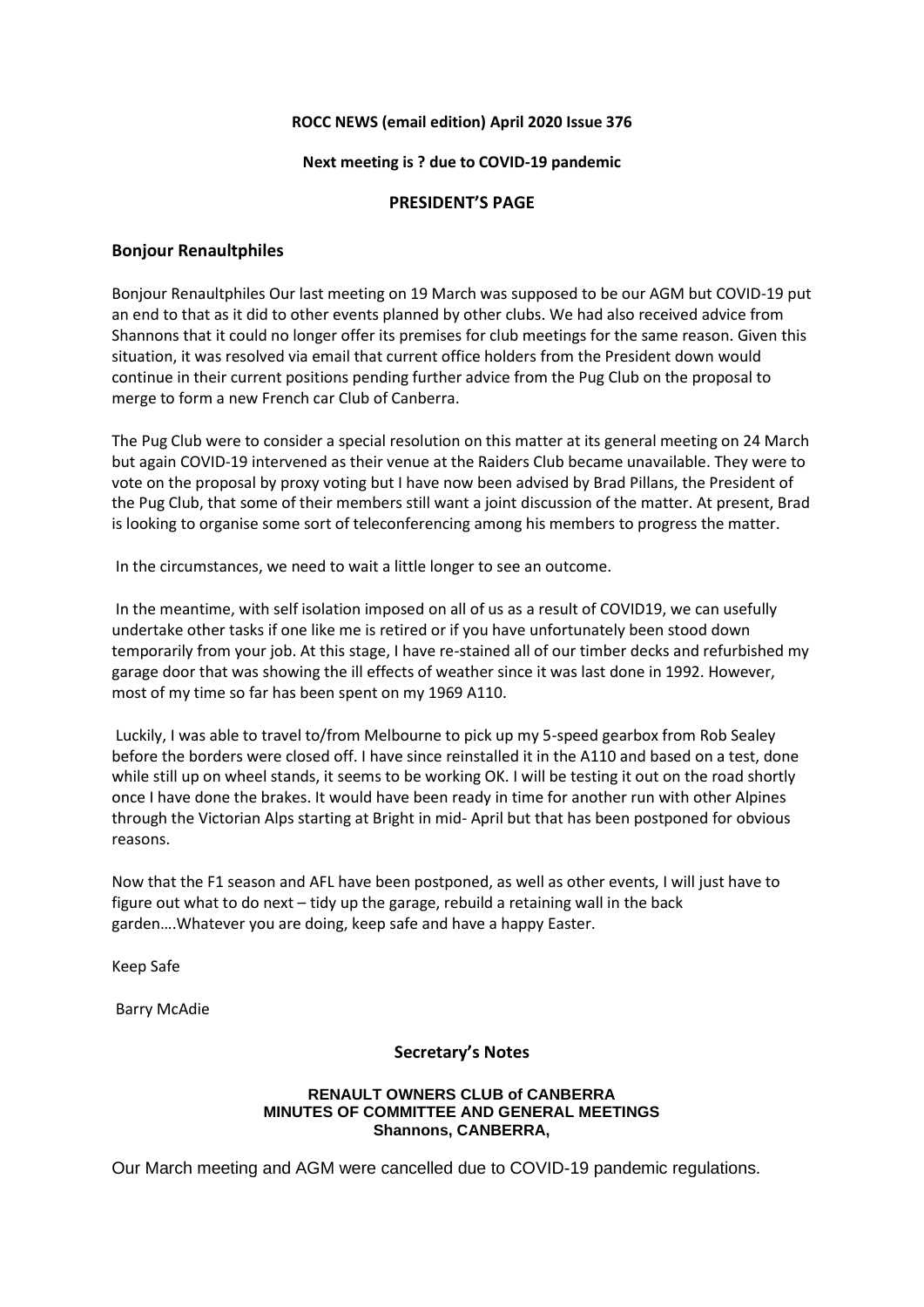## **ROCC NEWS (email edition) April 2020 Issue 376**

#### **Next meeting is ? due to COVID-19 pandemic**

## **PRESIDENT'S PAGE**

## **Bonjour Renaultphiles**

Bonjour Renaultphiles Our last meeting on 19 March was supposed to be our AGM but COVID-19 put an end to that as it did to other events planned by other clubs. We had also received advice from Shannons that it could no longer offer its premises for club meetings for the same reason. Given this situation, it was resolved via email that current office holders from the President down would continue in their current positions pending further advice from the Pug Club on the proposal to merge to form a new French car Club of Canberra.

The Pug Club were to consider a special resolution on this matter at its general meeting on 24 March but again COVID-19 intervened as their venue at the Raiders Club became unavailable. They were to vote on the proposal by proxy voting but I have now been advised by Brad Pillans, the President of the Pug Club, that some of their members still want a joint discussion of the matter. At present, Brad is looking to organise some sort of teleconferencing among his members to progress the matter.

In the circumstances, we need to wait a little longer to see an outcome.

In the meantime, with self isolation imposed on all of us as a result of COVID19, we can usefully undertake other tasks if one like me is retired or if you have unfortunately been stood down temporarily from your job. At this stage, I have re-stained all of our timber decks and refurbished my garage door that was showing the ill effects of weather since it was last done in 1992. However, most of my time so far has been spent on my 1969 A110.

Luckily, I was able to travel to/from Melbourne to pick up my 5-speed gearbox from Rob Sealey before the borders were closed off. I have since reinstalled it in the A110 and based on a test, done while still up on wheel stands, it seems to be working OK. I will be testing it out on the road shortly once I have done the brakes. It would have been ready in time for another run with other Alpines through the Victorian Alps starting at Bright in mid- April but that has been postponed for obvious reasons.

Now that the F1 season and AFL have been postponed, as well as other events, I will just have to figure out what to do next – tidy up the garage, rebuild a retaining wall in the back garden….Whatever you are doing, keep safe and have a happy Easter.

Keep Safe

Barry McAdie

## **Secretary's Notes**

#### **RENAULT OWNERS CLUB of CANBERRA MINUTES OF COMMITTEE AND GENERAL MEETINGS Shannons, CANBERRA,**

Our March meeting and AGM were cancelled due to COVID-19 pandemic regulations.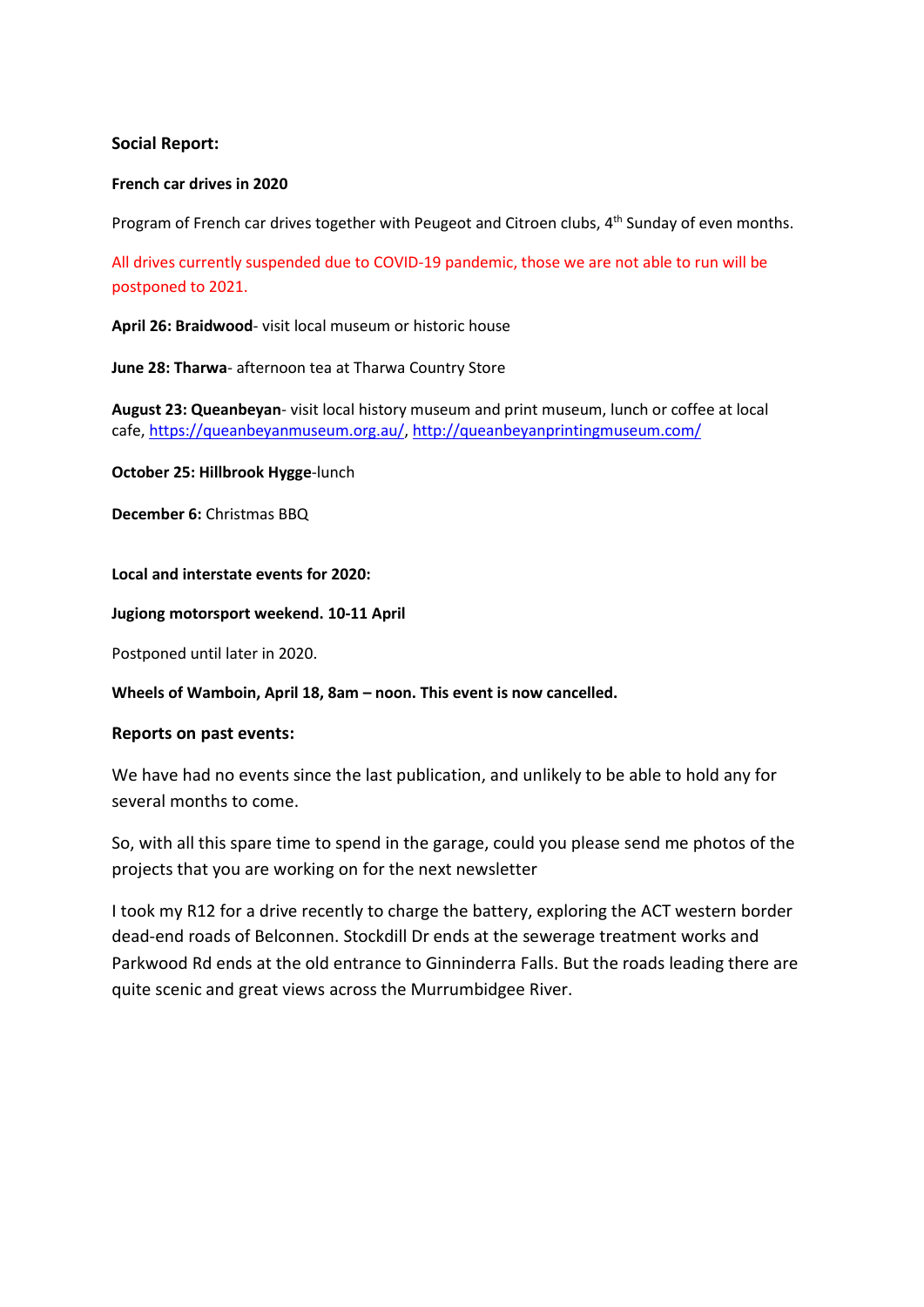# **Social Report:**

#### **French car drives in 2020**

Program of French car drives together with Peugeot and Citroen clubs, 4<sup>th</sup> Sunday of even months.

All drives currently suspended due to COVID-19 pandemic, those we are not able to run will be postponed to 2021.

**April 26: Braidwood**- visit local museum or historic house

**June 28: Tharwa**- afternoon tea at Tharwa Country Store

**August 23: Queanbeyan**- visit local history museum and print museum, lunch or coffee at local cafe, [https://queanbeyanmuseum.org.au/,](https://queanbeyanmuseum.org.au/) <http://queanbeyanprintingmuseum.com/>

**October 25: Hillbrook Hygge**-lunch

**December 6:** Christmas BBQ

**Local and interstate events for 2020:**

**Jugiong motorsport weekend. 10-11 April**

Postponed until later in 2020.

**Wheels of Wamboin, April 18, 8am – noon. This event is now cancelled.**

## **Reports on past events:**

We have had no events since the last publication, and unlikely to be able to hold any for several months to come.

So, with all this spare time to spend in the garage, could you please send me photos of the projects that you are working on for the next newsletter

I took my R12 for a drive recently to charge the battery, exploring the ACT western border dead-end roads of Belconnen. Stockdill Dr ends at the sewerage treatment works and Parkwood Rd ends at the old entrance to Ginninderra Falls. But the roads leading there are quite scenic and great views across the Murrumbidgee River.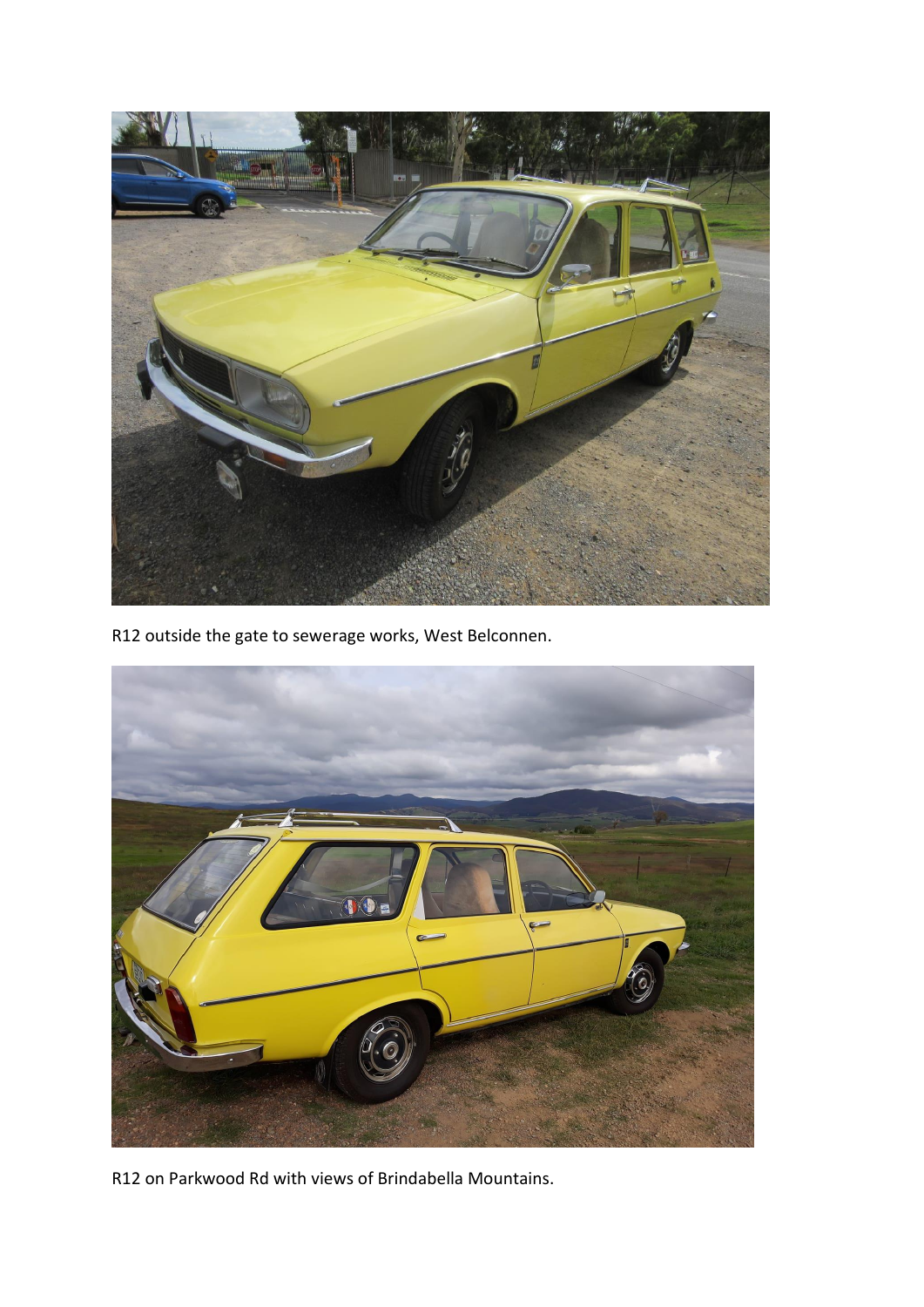

R12 outside the gate to sewerage works, West Belconnen.



R12 on Parkwood Rd with views of Brindabella Mountains.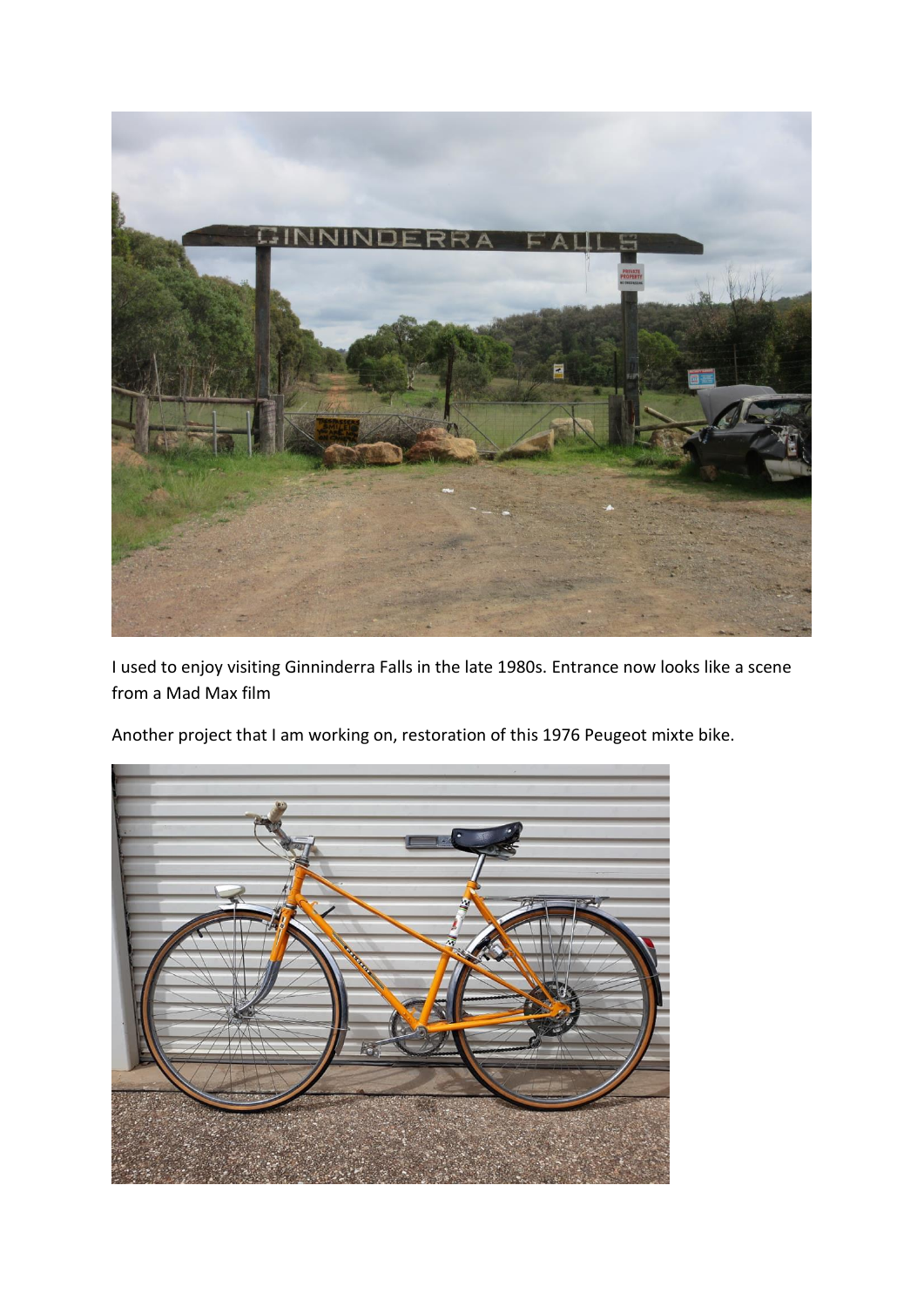

I used to enjoy visiting Ginninderra Falls in the late 1980s. Entrance now looks like a scene from a Mad Max film



Another project that I am working on, restoration of this 1976 Peugeot mixte bike.